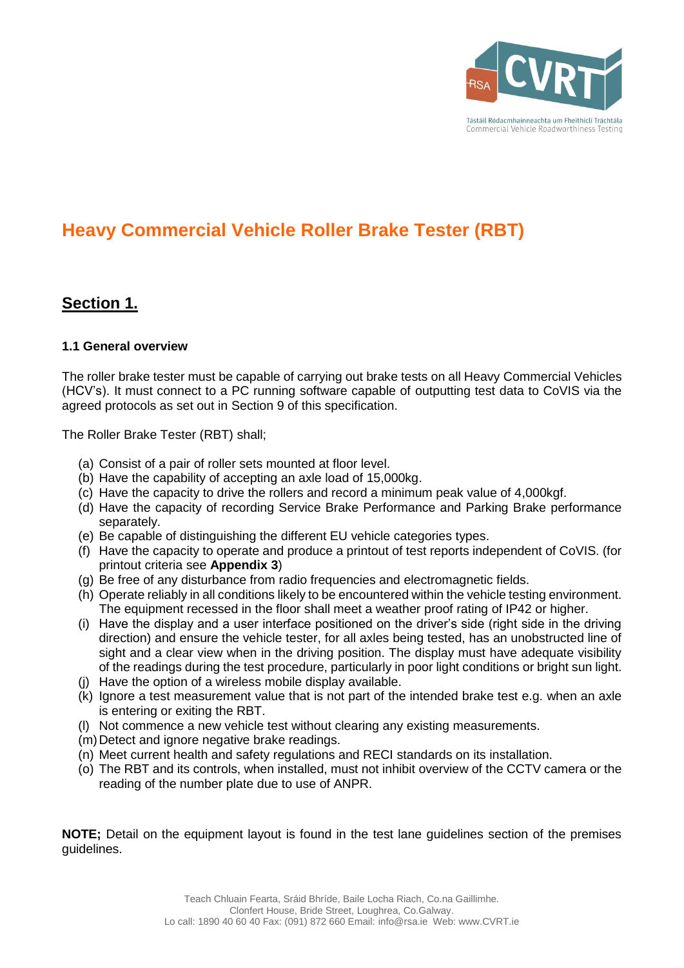

# **Heavy Commercial Vehicle Roller Brake Tester (RBT)**

## **Section 1.**

### **1.1 General overview**

The roller brake tester must be capable of carrying out brake tests on all Heavy Commercial Vehicles (HCV's). It must connect to a PC running software capable of outputting test data to CoVIS via the agreed protocols as set out in Section 9 of this specification.

The Roller Brake Tester (RBT) shall;

- (a) Consist of a pair of roller sets mounted at floor level.
- (b) Have the capability of accepting an axle load of 15,000kg.
- (c) Have the capacity to drive the rollers and record a minimum peak value of 4,000kgf.
- (d) Have the capacity of recording Service Brake Performance and Parking Brake performance separately.
- (e) Be capable of distinguishing the different EU vehicle categories types.
- (f) Have the capacity to operate and produce a printout of test reports independent of CoVIS. (for printout criteria see **Appendix 3**)
- (g) Be free of any disturbance from radio frequencies and electromagnetic fields.
- (h) Operate reliably in all conditions likely to be encountered within the vehicle testing environment. The equipment recessed in the floor shall meet a weather proof rating of IP42 or higher.
- (i) Have the display and a user interface positioned on the driver's side (right side in the driving direction) and ensure the vehicle tester, for all axles being tested, has an unobstructed line of sight and a clear view when in the driving position. The display must have adequate visibility of the readings during the test procedure, particularly in poor light conditions or bright sun light.
- (j) Have the option of a wireless mobile display available.
- (k) Ignore a test measurement value that is not part of the intended brake test e.g. when an axle is entering or exiting the RBT.
- (l) Not commence a new vehicle test without clearing any existing measurements.
- (m)Detect and ignore negative brake readings.
- (n) Meet current health and safety regulations and RECI standards on its installation.
- (o) The RBT and its controls, when installed, must not inhibit overview of the CCTV camera or the reading of the number plate due to use of ANPR.

**NOTE;** Detail on the equipment layout is found in the test lane guidelines section of the premises guidelines.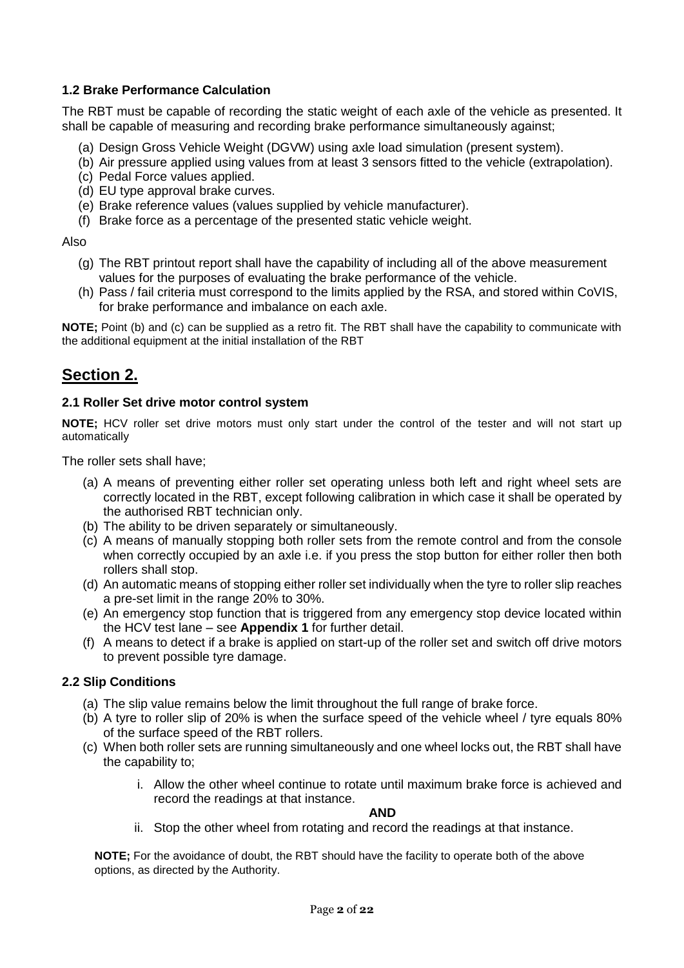### **1.2 Brake Performance Calculation**

The RBT must be capable of recording the static weight of each axle of the vehicle as presented. It shall be capable of measuring and recording brake performance simultaneously against;

- (a) Design Gross Vehicle Weight (DGVW) using axle load simulation (present system).
- (b) Air pressure applied using values from at least 3 sensors fitted to the vehicle (extrapolation).
- (c) Pedal Force values applied.
- (d) EU type approval brake curves.
- (e) Brake reference values (values supplied by vehicle manufacturer).
- (f) Brake force as a percentage of the presented static vehicle weight.

#### Also

- (g) The RBT printout report shall have the capability of including all of the above measurement values for the purposes of evaluating the brake performance of the vehicle.
- (h) Pass / fail criteria must correspond to the limits applied by the RSA, and stored within CoVIS, for brake performance and imbalance on each axle.

**NOTE;** Point (b) and (c) can be supplied as a retro fit. The RBT shall have the capability to communicate with the additional equipment at the initial installation of the RBT

## **Section 2.**

### **2.1 Roller Set drive motor control system**

**NOTE;** HCV roller set drive motors must only start under the control of the tester and will not start up automatically

The roller sets shall have;

- (a) A means of preventing either roller set operating unless both left and right wheel sets are correctly located in the RBT, except following calibration in which case it shall be operated by the authorised RBT technician only.
- (b) The ability to be driven separately or simultaneously.
- (c) A means of manually stopping both roller sets from the remote control and from the console when correctly occupied by an axle i.e. if you press the stop button for either roller then both rollers shall stop.
- (d) An automatic means of stopping either roller set individually when the tyre to roller slip reaches a pre-set limit in the range 20% to 30%.
- (e) An emergency stop function that is triggered from any emergency stop device located within the HCV test lane – see **Appendix 1** for further detail.
- (f) A means to detect if a brake is applied on start-up of the roller set and switch off drive motors to prevent possible tyre damage.

#### **2.2 Slip Conditions**

- (a) The slip value remains below the limit throughout the full range of brake force.
- (b) A tyre to roller slip of 20% is when the surface speed of the vehicle wheel / tyre equals 80% of the surface speed of the RBT rollers.
- (c) When both roller sets are running simultaneously and one wheel locks out, the RBT shall have the capability to;
	- i. Allow the other wheel continue to rotate until maximum brake force is achieved and record the readings at that instance.

**AND**

ii. Stop the other wheel from rotating and record the readings at that instance.

**NOTE;** For the avoidance of doubt, the RBT should have the facility to operate both of the above options, as directed by the Authority.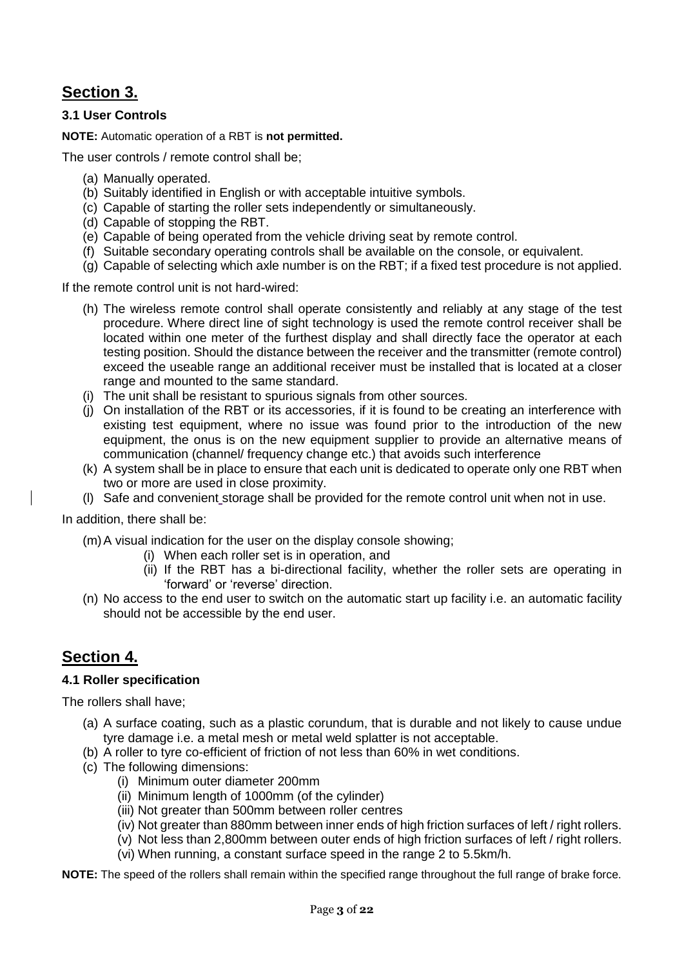## **Section 3.**

### **3.1 User Controls**

**NOTE:** Automatic operation of a RBT is **not permitted.**

The user controls / remote control shall be;

- (a) Manually operated.
- (b) Suitably identified in English or with acceptable intuitive symbols.
- (c) Capable of starting the roller sets independently or simultaneously.
- (d) Capable of stopping the RBT.
- (e) Capable of being operated from the vehicle driving seat by remote control.
- (f) Suitable secondary operating controls shall be available on the console, or equivalent.
- (g) Capable of selecting which axle number is on the RBT; if a fixed test procedure is not applied.

If the remote control unit is not hard-wired:

- (h) The wireless remote control shall operate consistently and reliably at any stage of the test procedure. Where direct line of sight technology is used the remote control receiver shall be located within one meter of the furthest display and shall directly face the operator at each testing position. Should the distance between the receiver and the transmitter (remote control) exceed the useable range an additional receiver must be installed that is located at a closer range and mounted to the same standard.
- (i) The unit shall be resistant to spurious signals from other sources.
- (j) On installation of the RBT or its accessories, if it is found to be creating an interference with existing test equipment, where no issue was found prior to the introduction of the new equipment, the onus is on the new equipment supplier to provide an alternative means of communication (channel/ frequency change etc.) that avoids such interference
- (k) A system shall be in place to ensure that each unit is dedicated to operate only one RBT when two or more are used in close proximity.
- (l) Safe and convenient storage shall be provided for the remote control unit when not in use.

In addition, there shall be:

(m)A visual indication for the user on the display console showing;

- (i) When each roller set is in operation, and
- (ii) If the RBT has a bi-directional facility, whether the roller sets are operating in 'forward' or 'reverse' direction.
- (n) No access to the end user to switch on the automatic start up facility i.e. an automatic facility should not be accessible by the end user.

## **Section 4.**

#### **4.1 Roller specification**

The rollers shall have;

- (a) A surface coating, such as a plastic corundum, that is durable and not likely to cause undue tyre damage i.e. a metal mesh or metal weld splatter is not acceptable.
- (b) A roller to tyre co-efficient of friction of not less than 60% in wet conditions.
- (c) The following dimensions:
	- (i) Minimum outer diameter 200mm
	- (ii) Minimum length of 1000mm (of the cylinder)
	- (iii) Not greater than 500mm between roller centres
	- (iv) Not greater than 880mm between inner ends of high friction surfaces of left / right rollers.
	- (v) Not less than 2,800mm between outer ends of high friction surfaces of left / right rollers.
	- (vi) When running, a constant surface speed in the range 2 to 5.5km/h.

**NOTE:** The speed of the rollers shall remain within the specified range throughout the full range of brake force.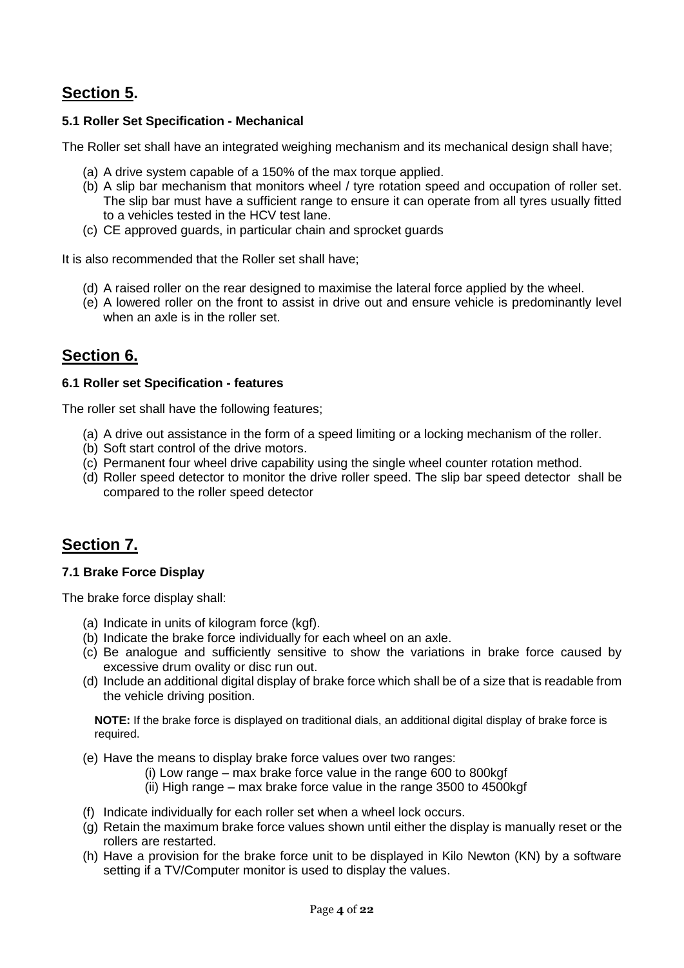## **Section 5.**

### **5.1 Roller Set Specification - Mechanical**

The Roller set shall have an integrated weighing mechanism and its mechanical design shall have;

- (a) A drive system capable of a 150% of the max torque applied.
- (b) A slip bar mechanism that monitors wheel / tyre rotation speed and occupation of roller set. The slip bar must have a sufficient range to ensure it can operate from all tyres usually fitted to a vehicles tested in the HCV test lane.
- (c) CE approved guards, in particular chain and sprocket guards

It is also recommended that the Roller set shall have;

- (d) A raised roller on the rear designed to maximise the lateral force applied by the wheel.
- (e) A lowered roller on the front to assist in drive out and ensure vehicle is predominantly level when an axle is in the roller set.

## **Section 6.**

#### **6.1 Roller set Specification - features**

The roller set shall have the following features;

- (a) A drive out assistance in the form of a speed limiting or a locking mechanism of the roller.
- (b) Soft start control of the drive motors.
- (c) Permanent four wheel drive capability using the single wheel counter rotation method.
- (d) Roller speed detector to monitor the drive roller speed. The slip bar speed detector shall be compared to the roller speed detector

## **Section 7.**

#### **7.1 Brake Force Display**

The brake force display shall:

- (a) Indicate in units of kilogram force (kgf).
- (b) Indicate the brake force individually for each wheel on an axle.
- (c) Be analogue and sufficiently sensitive to show the variations in brake force caused by excessive drum ovality or disc run out.
- (d) Include an additional digital display of brake force which shall be of a size that is readable from the vehicle driving position.

**NOTE:** If the brake force is displayed on traditional dials, an additional digital display of brake force is required.

- (e) Have the means to display brake force values over two ranges:
	- (i) Low range max brake force value in the range 600 to 800kgf
	- (ii) High range max brake force value in the range 3500 to 4500kgf
- (f) Indicate individually for each roller set when a wheel lock occurs.
- (g) Retain the maximum brake force values shown until either the display is manually reset or the rollers are restarted.
- (h) Have a provision for the brake force unit to be displayed in Kilo Newton (KN) by a software setting if a TV/Computer monitor is used to display the values.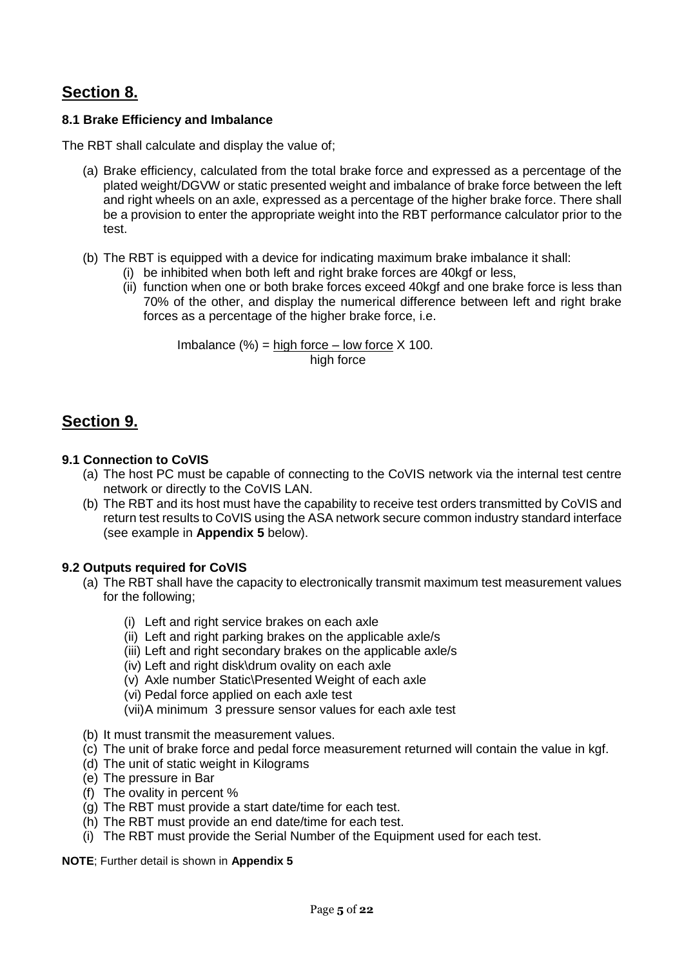## **Section 8.**

### **8.1 Brake Efficiency and Imbalance**

The RBT shall calculate and display the value of;

- (a) Brake efficiency, calculated from the total brake force and expressed as a percentage of the plated weight/DGVW or static presented weight and imbalance of brake force between the left and right wheels on an axle, expressed as a percentage of the higher brake force. There shall be a provision to enter the appropriate weight into the RBT performance calculator prior to the test.
- (b) The RBT is equipped with a device for indicating maximum brake imbalance it shall:
	- $(i)$  be inhibited when both left and right brake forces are 40 kg or less,
	- (ii) function when one or both brake forces exceed 40kgf and one brake force is less than 70% of the other, and display the numerical difference between left and right brake forces as a percentage of the higher brake force, i.e.

Imbalance  $(\%) = \text{high force} - \text{low force} \times 100$ . high force

## **Section 9.**

#### **9.1 Connection to CoVIS**

- (a) The host PC must be capable of connecting to the CoVIS network via the internal test centre network or directly to the CoVIS LAN.
- (b) The RBT and its host must have the capability to receive test orders transmitted by CoVIS and return test results to CoVIS using the ASA network secure common industry standard interface (see example in **Appendix 5** below).

#### **9.2 Outputs required for CoVIS**

- (a) The RBT shall have the capacity to electronically transmit maximum test measurement values for the following;
	- (i) Left and right service brakes on each axle
	- (ii) Left and right parking brakes on the applicable axle/s
	- (iii) Left and right secondary brakes on the applicable axle/s
	- (iv) Left and right disk\drum ovality on each axle
	- (v) Axle number Static\Presented Weight of each axle
	- (vi) Pedal force applied on each axle test
	- (vii)A minimum 3 pressure sensor values for each axle test
- (b) It must transmit the measurement values.
- (c) The unit of brake force and pedal force measurement returned will contain the value in kgf.
- (d) The unit of static weight in Kilograms
- (e) The pressure in Bar
- (f) The ovality in percent %
- (g) The RBT must provide a start date/time for each test.
- (h) The RBT must provide an end date/time for each test.
- (i) The RBT must provide the Serial Number of the Equipment used for each test.

**NOTE**; Further detail is shown in **Appendix 5**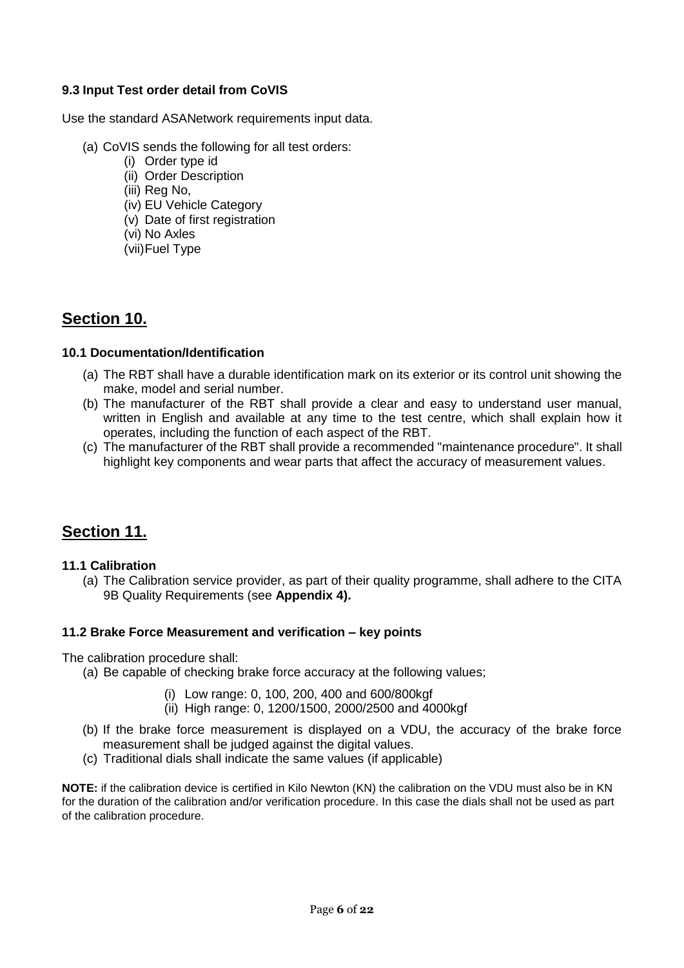### **9.3 Input Test order detail from CoVIS**

Use the standard ASANetwork requirements input data.

- (a) CoVIS sends the following for all test orders:
	- (i) Order type id
	- (ii) Order Description
	- (iii) Reg No,
	- (iv) EU Vehicle Category
	- (v) Date of first registration
	- (vi) No Axles
	- (vii)Fuel Type

## **Section 10.**

### **10.1 Documentation/Identification**

- (a) The RBT shall have a durable identification mark on its exterior or its control unit showing the make, model and serial number.
- (b) The manufacturer of the RBT shall provide a clear and easy to understand user manual, written in English and available at any time to the test centre, which shall explain how it operates, including the function of each aspect of the RBT.
- (c) The manufacturer of the RBT shall provide a recommended "maintenance procedure". It shall highlight key components and wear parts that affect the accuracy of measurement values.

## **Section 11.**

#### **11.1 Calibration**

(a) The Calibration service provider, as part of their quality programme, shall adhere to the CITA 9B Quality Requirements (see **Appendix 4).**

### **11.2 Brake Force Measurement and verification – key points**

The calibration procedure shall:

- (a) Be capable of checking brake force accuracy at the following values;
	- (i) Low range: 0, 100, 200, 400 and 600/800kgf
	- (ii) High range: 0, 1200/1500, 2000/2500 and 4000kgf
- (b) If the brake force measurement is displayed on a VDU, the accuracy of the brake force measurement shall be judged against the digital values.
- (c) Traditional dials shall indicate the same values (if applicable)

**NOTE:** if the calibration device is certified in Kilo Newton (KN) the calibration on the VDU must also be in KN for the duration of the calibration and/or verification procedure. In this case the dials shall not be used as part of the calibration procedure.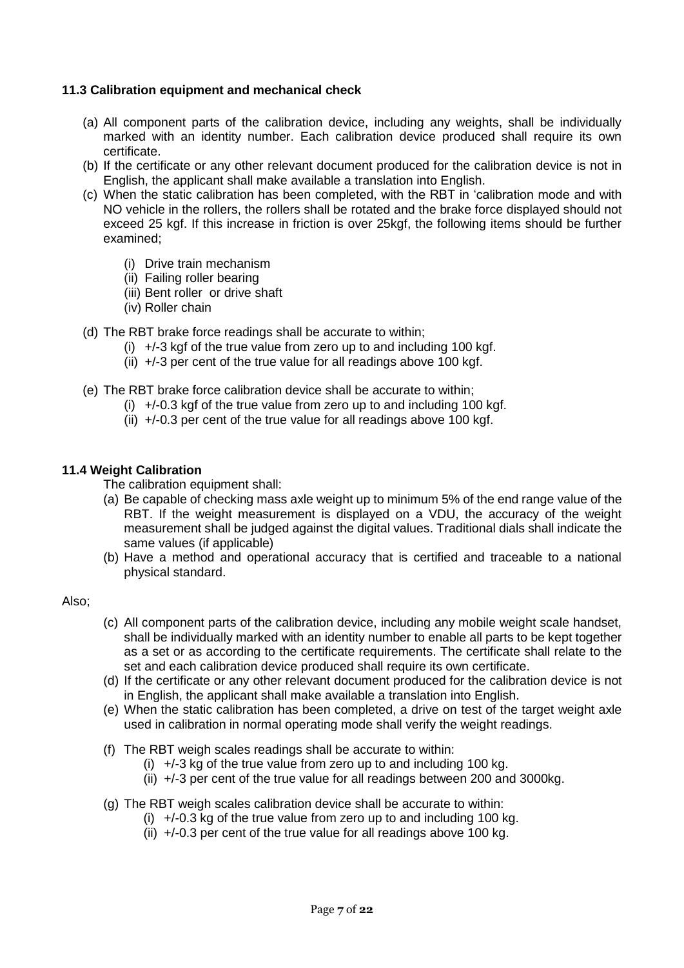### **11.3 Calibration equipment and mechanical check**

- (a) All component parts of the calibration device, including any weights, shall be individually marked with an identity number. Each calibration device produced shall require its own certificate.
- (b) If the certificate or any other relevant document produced for the calibration device is not in English, the applicant shall make available a translation into English.
- (c) When the static calibration has been completed, with the RBT in 'calibration mode and with NO vehicle in the rollers, the rollers shall be rotated and the brake force displayed should not exceed 25 kgf. If this increase in friction is over 25kgf, the following items should be further examined;
	- (i) Drive train mechanism
	- (ii) Failing roller bearing
	- (iii) Bent roller or drive shaft
	- (iv) Roller chain
- (d) The RBT brake force readings shall be accurate to within;
	- (i)  $+/-3$  kgf of the true value from zero up to and including 100 kgf.
	- (ii)  $+/-3$  per cent of the true value for all readings above 100 kgf.
- (e) The RBT brake force calibration device shall be accurate to within;
	- (i)  $+/-0.3$  kgf of the true value from zero up to and including 100 kgf.
	- (ii)  $+/-0.3$  per cent of the true value for all readings above 100 kgf.

#### **11.4 Weight Calibration**

The calibration equipment shall:

- (a) Be capable of checking mass axle weight up to minimum 5% of the end range value of the RBT. If the weight measurement is displayed on a VDU, the accuracy of the weight measurement shall be judged against the digital values. Traditional dials shall indicate the same values (if applicable)
- (b) Have a method and operational accuracy that is certified and traceable to a national physical standard.

#### Also;

- (c) All component parts of the calibration device, including any mobile weight scale handset, shall be individually marked with an identity number to enable all parts to be kept together as a set or as according to the certificate requirements. The certificate shall relate to the set and each calibration device produced shall require its own certificate.
- (d) If the certificate or any other relevant document produced for the calibration device is not in English, the applicant shall make available a translation into English.
- (e) When the static calibration has been completed, a drive on test of the target weight axle used in calibration in normal operating mode shall verify the weight readings.
- (f) The RBT weigh scales readings shall be accurate to within:
	- (i)  $+/-3$  kg of the true value from zero up to and including 100 kg.
	- (ii) +/-3 per cent of the true value for all readings between 200 and 3000kg.
- (g) The RBT weigh scales calibration device shall be accurate to within:
	- (i)  $+/-0.3$  kg of the true value from zero up to and including 100 kg.
	- (ii)  $+/-0.3$  per cent of the true value for all readings above 100 kg.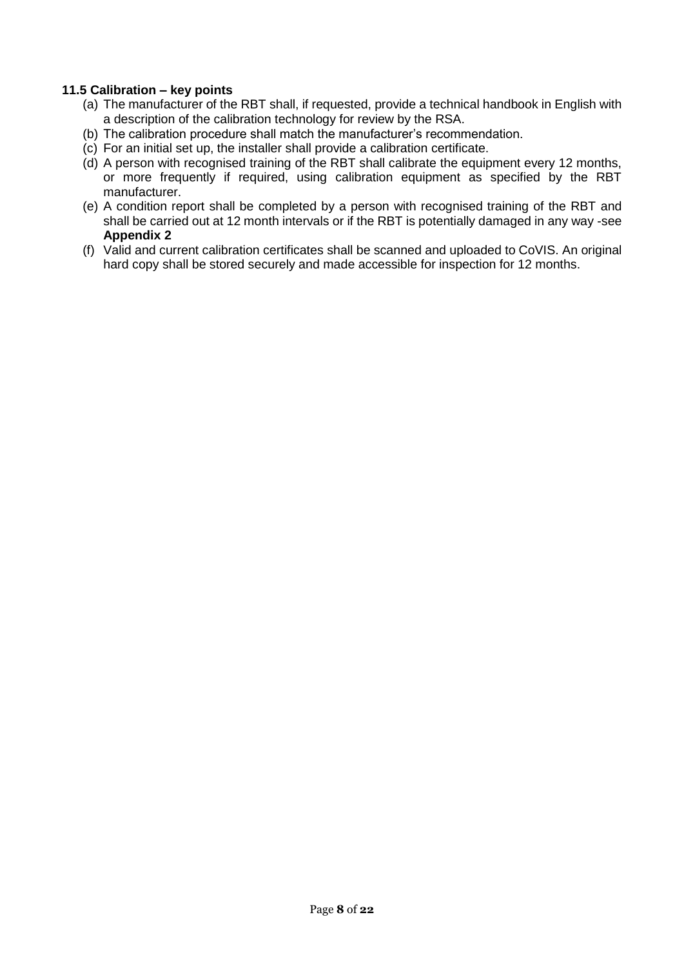#### **11.5 Calibration – key points**

- (a) The manufacturer of the RBT shall, if requested, provide a technical handbook in English with a description of the calibration technology for review by the RSA.
- (b) The calibration procedure shall match the manufacturer's recommendation.
- (c) For an initial set up, the installer shall provide a calibration certificate.
- (d) A person with recognised training of the RBT shall calibrate the equipment every 12 months, or more frequently if required, using calibration equipment as specified by the RBT manufacturer.
- (e) A condition report shall be completed by a person with recognised training of the RBT and shall be carried out at 12 month intervals or if the RBT is potentially damaged in any way -see **Appendix 2**
- (f) Valid and current calibration certificates shall be scanned and uploaded to CoVIS. An original hard copy shall be stored securely and made accessible for inspection for 12 months.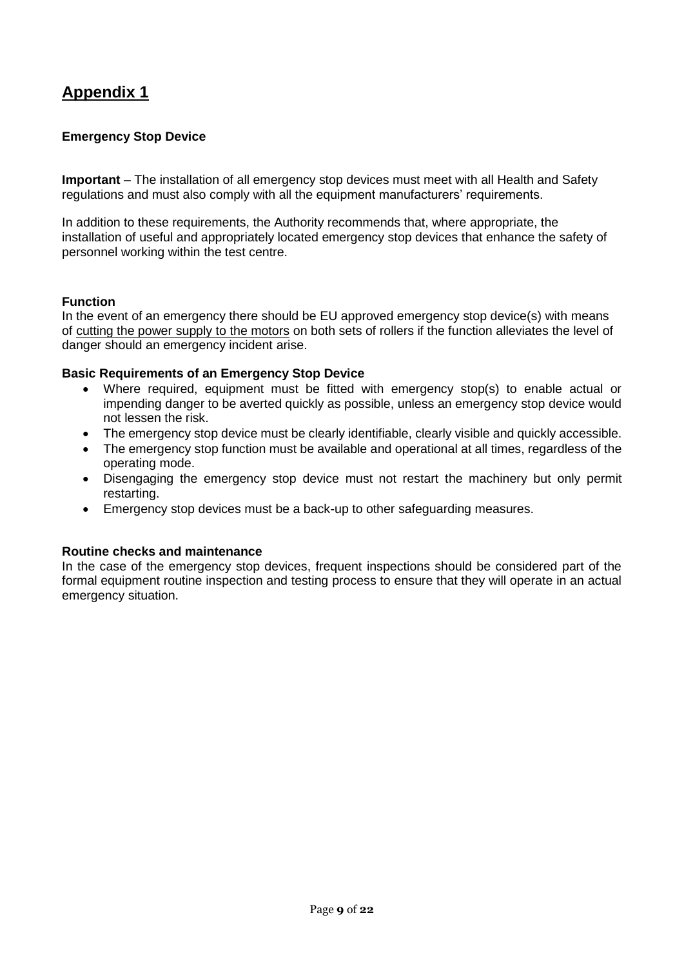### **Emergency Stop Device**

**Important** – The installation of all emergency stop devices must meet with all Health and Safety regulations and must also comply with all the equipment manufacturers' requirements.

In addition to these requirements, the Authority recommends that, where appropriate, the installation of useful and appropriately located emergency stop devices that enhance the safety of personnel working within the test centre.

#### **Function**

In the event of an emergency there should be EU approved emergency stop device(s) with means of cutting the power supply to the motors on both sets of rollers if the function alleviates the level of danger should an emergency incident arise.

#### **Basic Requirements of an Emergency Stop Device**

- Where required, equipment must be fitted with emergency stop(s) to enable actual or impending danger to be averted quickly as possible, unless an emergency stop device would not lessen the risk.
- The emergency stop device must be clearly identifiable, clearly visible and quickly accessible.
- The emergency stop function must be available and operational at all times, regardless of the operating mode.
- Disengaging the emergency stop device must not restart the machinery but only permit restarting.
- Emergency stop devices must be a back-up to other safeguarding measures.

#### **Routine checks and maintenance**

In the case of the emergency stop devices, frequent inspections should be considered part of the formal equipment routine inspection and testing process to ensure that they will operate in an actual emergency situation.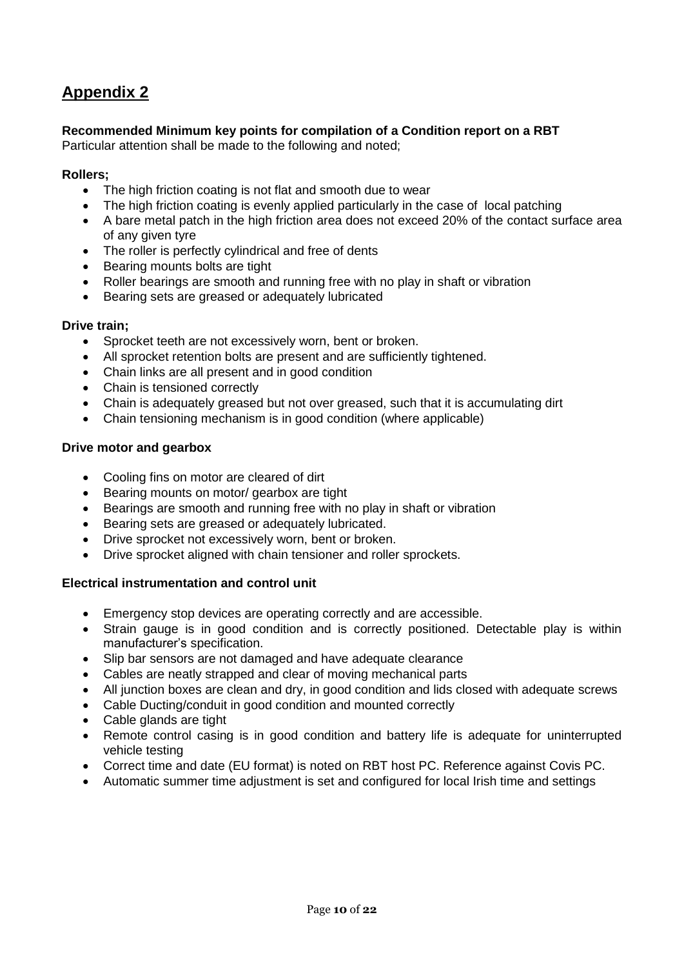### **Recommended Minimum key points for compilation of a Condition report on a RBT**

Particular attention shall be made to the following and noted;

#### **Rollers;**

- The high friction coating is not flat and smooth due to wear
- The high friction coating is evenly applied particularly in the case of local patching
- A bare metal patch in the high friction area does not exceed 20% of the contact surface area of any given tyre
- The roller is perfectly cylindrical and free of dents
- Bearing mounts bolts are tight
- Roller bearings are smooth and running free with no play in shaft or vibration
- Bearing sets are greased or adequately lubricated

#### **Drive train;**

- Sprocket teeth are not excessively worn, bent or broken.
- All sprocket retention bolts are present and are sufficiently tightened.
- Chain links are all present and in good condition
- Chain is tensioned correctly
- Chain is adequately greased but not over greased, such that it is accumulating dirt
- Chain tensioning mechanism is in good condition (where applicable)

#### **Drive motor and gearbox**

- Cooling fins on motor are cleared of dirt
- Bearing mounts on motor/ gearbox are tight
- Bearings are smooth and running free with no play in shaft or vibration
- Bearing sets are greased or adequately lubricated.
- Drive sprocket not excessively worn, bent or broken.
- Drive sprocket aligned with chain tensioner and roller sprockets.

#### **Electrical instrumentation and control unit**

- Emergency stop devices are operating correctly and are accessible.
- Strain gauge is in good condition and is correctly positioned. Detectable play is within manufacturer's specification.
- Slip bar sensors are not damaged and have adequate clearance
- Cables are neatly strapped and clear of moving mechanical parts
- All junction boxes are clean and dry, in good condition and lids closed with adequate screws
- Cable Ducting/conduit in good condition and mounted correctly
- Cable glands are tight
- Remote control casing is in good condition and battery life is adequate for uninterrupted vehicle testing
- Correct time and date (EU format) is noted on RBT host PC. Reference against Covis PC.
- Automatic summer time adjustment is set and configured for local Irish time and settings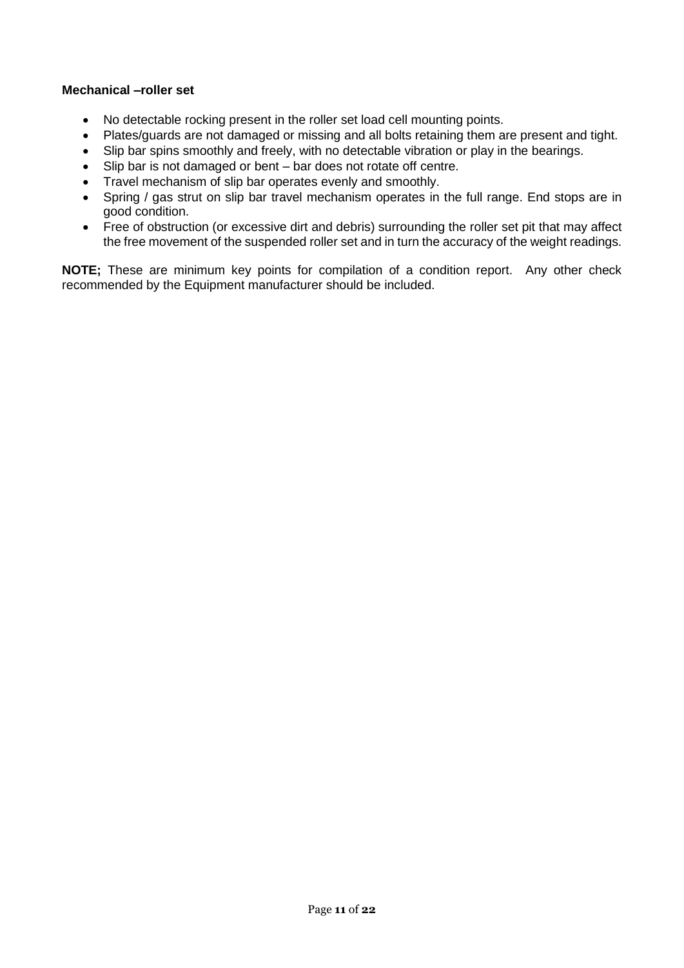#### **Mechanical –roller set**

- No detectable rocking present in the roller set load cell mounting points.
- Plates/guards are not damaged or missing and all bolts retaining them are present and tight.
- Slip bar spins smoothly and freely, with no detectable vibration or play in the bearings.
- Slip bar is not damaged or bent bar does not rotate off centre.
- Travel mechanism of slip bar operates evenly and smoothly.
- Spring / gas strut on slip bar travel mechanism operates in the full range. End stops are in good condition.
- Free of obstruction (or excessive dirt and debris) surrounding the roller set pit that may affect the free movement of the suspended roller set and in turn the accuracy of the weight readings.

**NOTE;** These are minimum key points for compilation of a condition report. Any other check recommended by the Equipment manufacturer should be included.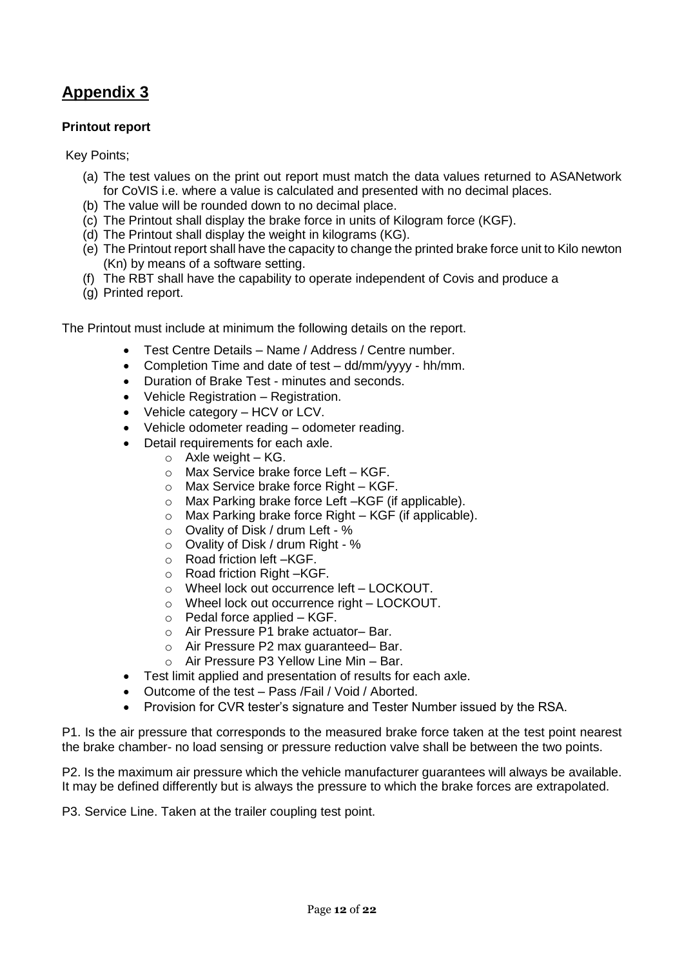### **Printout report**

Key Points;

- (a) The test values on the print out report must match the data values returned to ASANetwork for CoVIS i.e. where a value is calculated and presented with no decimal places.
- (b) The value will be rounded down to no decimal place.
- (c) The Printout shall display the brake force in units of Kilogram force (KGF).
- (d) The Printout shall display the weight in kilograms (KG).
- (e) The Printout report shall have the capacity to change the printed brake force unit to Kilo newton (Kn) by means of a software setting.
- (f) The RBT shall have the capability to operate independent of Covis and produce a
- (g) Printed report.

The Printout must include at minimum the following details on the report.

- Test Centre Details Name / Address / Centre number.
- Completion Time and date of test dd/mm/yyyy hh/mm.
- Duration of Brake Test minutes and seconds.
- Vehicle Registration Registration.
- Vehicle category HCV or LCV.
- Vehicle odometer reading odometer reading.
	- Detail requirements for each axle.
		- $\circ$  Axle weight KG.
			- o Max Service brake force Left KGF.
			- o Max Service brake force Right KGF.
		- o Max Parking brake force Left –KGF (if applicable).
		- o Max Parking brake force Right KGF (if applicable).
		- o Ovality of Disk / drum Left %
		- o Ovality of Disk / drum Right %
		- o Road friction left –KGF.
		- o Road friction Right –KGF.
		- o Wheel lock out occurrence left LOCKOUT.
		- o Wheel lock out occurrence right LOCKOUT.
		- o Pedal force applied KGF.
		- o Air Pressure P1 brake actuator– Bar.
		- o Air Pressure P2 max guaranteed– Bar.
		- o Air Pressure P3 Yellow Line Min Bar.
- Test limit applied and presentation of results for each axle.
- Outcome of the test Pass /Fail / Void / Aborted.
- Provision for CVR tester's signature and Tester Number issued by the RSA.

P1. Is the air pressure that corresponds to the measured brake force taken at the test point nearest the brake chamber- no load sensing or pressure reduction valve shall be between the two points.

P2. Is the maximum air pressure which the vehicle manufacturer guarantees will always be available. It may be defined differently but is always the pressure to which the brake forces are extrapolated.

P3. Service Line. Taken at the trailer coupling test point.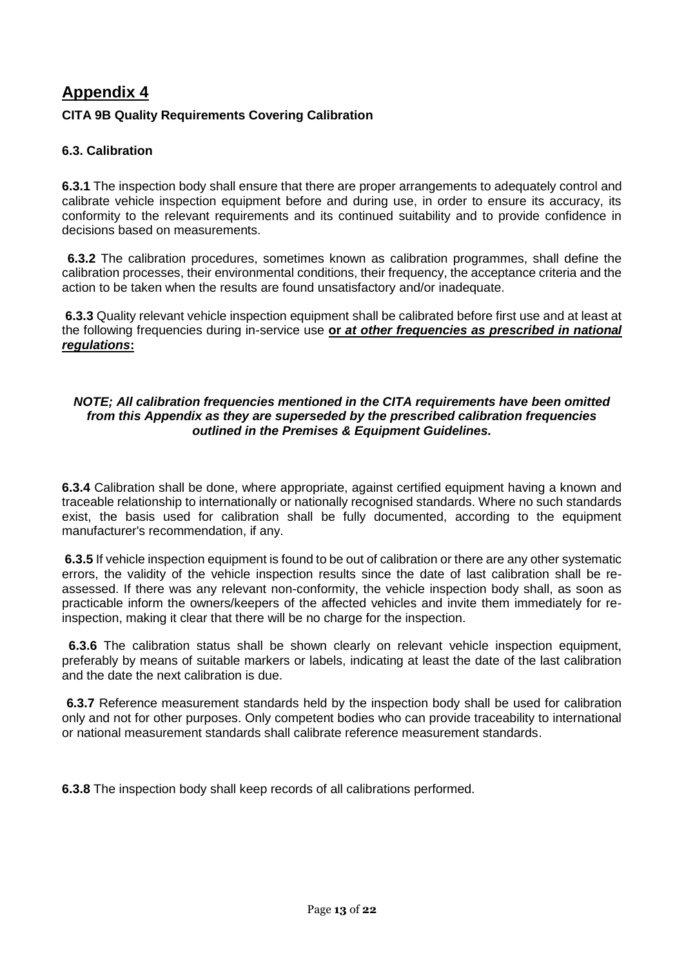### **CITA 9B Quality Requirements Covering Calibration**

### **6.3. Calibration**

**6.3.1** The inspection body shall ensure that there are proper arrangements to adequately control and calibrate vehicle inspection equipment before and during use, in order to ensure its accuracy, its conformity to the relevant requirements and its continued suitability and to provide confidence in decisions based on measurements.

**6.3.2** The calibration procedures, sometimes known as calibration programmes, shall define the calibration processes, their environmental conditions, their frequency, the acceptance criteria and the action to be taken when the results are found unsatisfactory and/or inadequate.

**6.3.3** Quality relevant vehicle inspection equipment shall be calibrated before first use and at least at the following frequencies during in-service use **or** *at other frequencies as prescribed in national regulations***:**

#### *NOTE; All calibration frequencies mentioned in the CITA requirements have been omitted from this Appendix as they are superseded by the prescribed calibration frequencies outlined in the Premises & Equipment Guidelines.*

**6.3.4** Calibration shall be done, where appropriate, against certified equipment having a known and traceable relationship to internationally or nationally recognised standards. Where no such standards exist, the basis used for calibration shall be fully documented, according to the equipment manufacturer's recommendation, if any.

**6.3.5** If vehicle inspection equipment is found to be out of calibration or there are any other systematic errors, the validity of the vehicle inspection results since the date of last calibration shall be reassessed. If there was any relevant non-conformity, the vehicle inspection body shall, as soon as practicable inform the owners/keepers of the affected vehicles and invite them immediately for reinspection, making it clear that there will be no charge for the inspection.

**6.3.6** The calibration status shall be shown clearly on relevant vehicle inspection equipment, preferably by means of suitable markers or labels, indicating at least the date of the last calibration and the date the next calibration is due.

**6.3.7** Reference measurement standards held by the inspection body shall be used for calibration only and not for other purposes. Only competent bodies who can provide traceability to international or national measurement standards shall calibrate reference measurement standards.

**6.3.8** The inspection body shall keep records of all calibrations performed.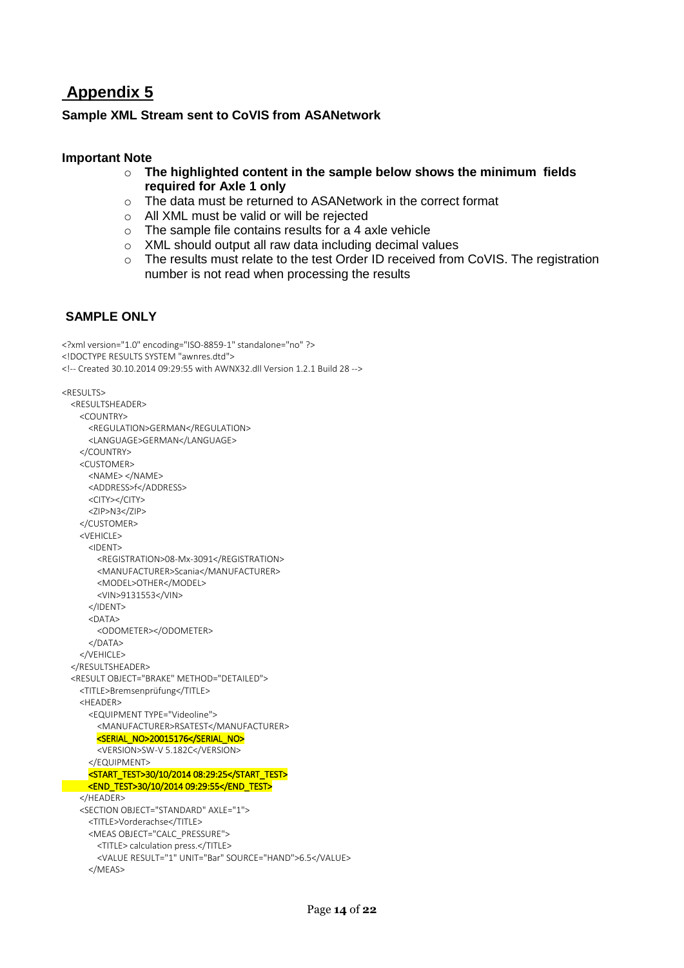### **Sample XML Stream sent to CoVIS from ASANetwork**

### **Important Note**

- o **The highlighted content in the sample below shows the minimum fields required for Axle 1 only**
- o The data must be returned to ASANetwork in the correct format
- o All XML must be valid or will be rejected
- $\circ$  The sample file contains results for a 4 axle vehicle
- o XML should output all raw data including decimal values
- o The results must relate to the test Order ID received from CoVIS. The registration number is not read when processing the results

### **SAMPLE ONLY**

```
<?xml version="1.0" encoding="ISO-8859-1" standalone="no" ?>
<!DOCTYPE RESULTS SYSTEM "awnres.dtd">
<!-- Created 30.10.2014 09:29:55 with AWNX32.dll Version 1.2.1 Build 28 -->
<RESULTS>
  <RESULTSHEADER>
    <COUNTRY>
      <REGULATION>GERMAN</REGULATION>
      <LANGUAGE>GERMAN</LANGUAGE>
    </COUNTRY>
    <CUSTOMER>
      <NAME> </NAME>
      <ADDRESS>f</ADDRESS>
      <CITY></CITY>
     <ZIP>N3</ZIP>
    </CUSTOMER>
    <VEHICLE>
      <IDENT>
        <REGISTRATION>08-Mx-3091</REGISTRATION>
        <MANUFACTURER>Scania</MANUFACTURER>
        <MODEL>OTHER</MODEL>
        <VIN>9131553</VIN>
      </IDENT>
      <DATA>
        <ODOMETER></ODOMETER>
      </DATA>
    </VEHICLE>
  </RESULTSHEADER>
   <RESULT OBJECT="BRAKE" METHOD="DETAILED">
    <TITLE>Bremsenprüfung</TITLE>
    <HEADER>
      <EQUIPMENT TYPE="Videoline">
        <MANUFACTURER>RSATEST</MANUFACTURER>
       <SERIAL_NO>20015176</SERIAL_NO>
        <VERSION>SW-V 5.182C</VERSION>
      </EQUIPMENT>
    <START_TEST>30/10/2014 08:29:25</START_TEST> 
    <END_TEST>30/10/2014 09:29:55</END_TEST> 
    </HEADER>
    <SECTION OBJECT="STANDARD" AXLE="1">
      <TITLE>Vorderachse</TITLE>
      <MEAS OBJECT="CALC_PRESSURE">
        <TITLE> calculation press.</TITLE>
        <VALUE RESULT="1" UNIT="Bar" SOURCE="HAND">6.5</VALUE>
      </MEAS>
```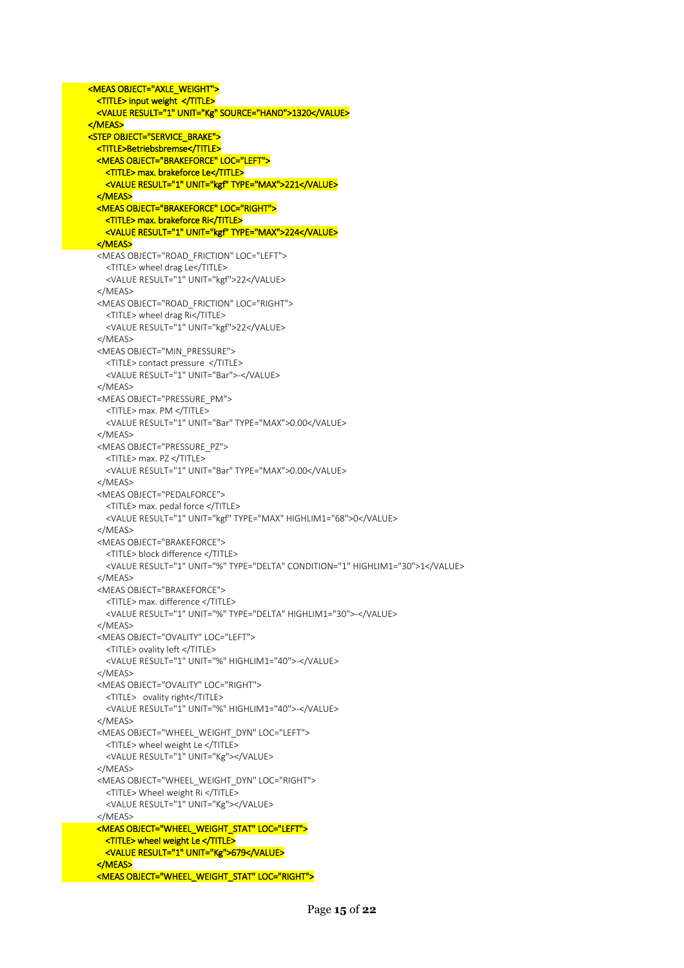```
 <MEAS OBJECT="AXLE_WEIGHT"> 
  <TITLE> input weight </TITLE> 
  <VALUE RESULT="1" UNIT="Kg" SOURCE="HAND">1320</VALUE>
 </MEAS> 
 <STEP OBJECT="SERVICE_BRAKE"> 
  <TITLE>Betriebsbremse</TITLE> 
   <MEAS OBJECT="BRAKEFORCE" LOC="LEFT"> 
    <TITLE> max. brakeforce Le</TITLE> 
   <VALUE RESULT="1" UNIT="kgf" TYPE="MAX">221</VALUE>
   </MEAS> 
  <MEAS OBJECT="BRAKEFORCE" LOC="RIGHT"> 
     <TITLE> max. brakeforce Ri</TITLE> 
   <VALUE RESULT="1" UNIT="kgf" TYPE="MAX">224</VALUE>
  </MEAS> 
   <MEAS OBJECT="ROAD_FRICTION" LOC="LEFT">
     <TITLE> wheel drag Le</TITLE>
     <VALUE RESULT="1" UNIT="kgf">22</VALUE>
   </MEAS>
   <MEAS OBJECT="ROAD_FRICTION" LOC="RIGHT">
     <TITLE> wheel drag Ri</TITLE>
     <VALUE RESULT="1" UNIT="kgf">22</VALUE>
   </MEAS>
   <MEAS OBJECT="MIN_PRESSURE">
     <TITLE> contact pressure </TITLE>
     <VALUE RESULT="1" UNIT="Bar">-</VALUE>
   </MEAS>
   <MEAS OBJECT="PRESSURE_PM">
     <TITLE> max. PM </TITLE>
     <VALUE RESULT="1" UNIT="Bar" TYPE="MAX">0.00</VALUE>
   </MEAS>
   <MEAS OBJECT="PRESSURE_PZ">
     <TITLE> max. PZ </TITLE>
     <VALUE RESULT="1" UNIT="Bar" TYPE="MAX">0.00</VALUE>
   </MEAS>
   <MEAS OBJECT="PEDALFORCE">
     <TITLE> max. pedal force </TITLE>
     <VALUE RESULT="1" UNIT="kgf" TYPE="MAX" HIGHLIM1="68">0</VALUE>
   </MEAS>
   <MEAS OBJECT="BRAKEFORCE">
     <TITLE> block difference </TITLE>
     <VALUE RESULT="1" UNIT="%" TYPE="DELTA" CONDITION="1" HIGHLIM1="30">1</VALUE>
   </MEAS>
   <MEAS OBJECT="BRAKEFORCE">
     <TITLE> max. difference </TITLE>
     <VALUE RESULT="1" UNIT="%" TYPE="DELTA" HIGHLIM1="30">-</VALUE>
   </MEAS>
   <MEAS OBJECT="OVALITY" LOC="LEFT">
     <TITLE> ovality left </TITLE>
     <VALUE RESULT="1" UNIT="%" HIGHLIM1="40">-</VALUE>
   </MEAS>
   <MEAS OBJECT="OVALITY" LOC="RIGHT">
     <TITLE> ovality right</TITLE>
     <VALUE RESULT="1" UNIT="%" HIGHLIM1="40">-</VALUE>
   </MEAS>
   <MEAS OBJECT="WHEEL_WEIGHT_DYN" LOC="LEFT">
     <TITLE> wheel weight Le </TITLE>
     <VALUE RESULT="1" UNIT="Kg"></VALUE>
   </MEAS>
   <MEAS OBJECT="WHEEL_WEIGHT_DYN" LOC="RIGHT">
     <TITLE> Wheel weight Ri </TITLE>
     <VALUE RESULT="1" UNIT="Kg"></VALUE>
   </MEAS>
  <MEAS OBJECT="WHEEL_WEIGHT_STAT" LOC="LEFT"> 
     <TITLE> wheel weight Le </TITLE> 
     <VALUE RESULT="1" UNIT="Kg">679</VALUE> 
   </MEAS>
```
<MEAS OBJECT="WHEEL\_WEIGHT\_STAT" LOC="RIGHT">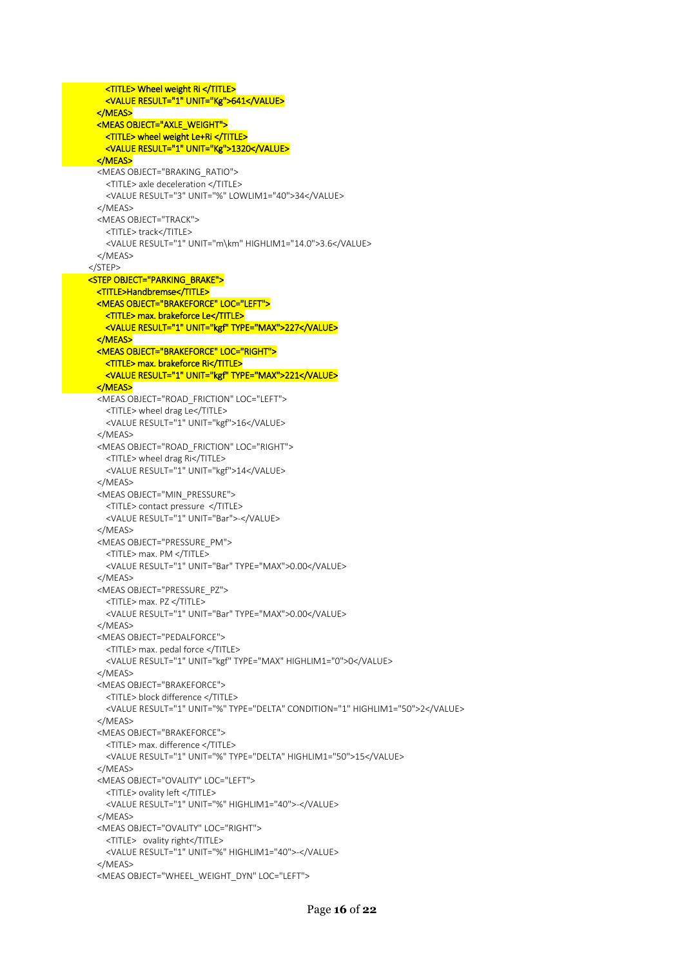<MEAS OBJECT="WHEEL\_WEIGHT\_DYN" LOC="LEFT">

 <TITLE> Wheel weight Ri </TITLE> <VALUE RESULT="1" UNIT="Kg">641</VALUE> </MEAS> <MEAS OBJECT="AXLE\_WEIGHT"> <TITLE> wheel weight Le+Ri </TITLE> <VALUE RESULT="1" UNIT="Kg">1320</VALUE> </MEAS> <MEAS OBJECT="BRAKING\_RATIO"> <TITLE> axle deceleration </TITLE> <VALUE RESULT="3" UNIT="%" LOWLIM1="40">34</VALUE> </MEAS> <MEAS OBJECT="TRACK"> <TITLE> track</TITLE> <VALUE RESULT="1" UNIT="m\km" HIGHLIM1="14.0">3.6</VALUE> </MEAS> </STEP> <STEP OBJECT="PARKING\_BRAKE"> <TITLE>Handbremse</TITLE> <MEAS OBJECT="BRAKEFORCE" LOC="LEFT"> <TITLE> max. brakeforce Le</TITLE> <VALUE RESULT="1" UNIT="kgf" TYPE="MAX">227</VALUE> </MEAS> <MEAS OBJECT="BRAKEFORCE" LOC="RIGHT"> <TITLE> max. brakeforce Ri</TITLE> <VALUE RESULT="1" UNIT="kgf" TYPE="MAX">221</VALUE> </MEAS> <MEAS OBJECT="ROAD\_FRICTION" LOC="LEFT"> <TITLE> wheel drag Le</TITLE> <VALUE RESULT="1" UNIT="kgf">16</VALUE> </MEAS> <MEAS OBJECT="ROAD\_FRICTION" LOC="RIGHT"> <TITLE> wheel drag Ri</TITLE> <VALUE RESULT="1" UNIT="kgf">14</VALUE> </MEAS> <MEAS OBJECT="MIN\_PRESSURE"> <TITLE> contact pressure </TITLE> <VALUE RESULT="1" UNIT="Bar">-</VALUE> </MEAS> <MEAS OBJECT="PRESSURE\_PM"> <TITLE> max. PM </TITLE> <VALUE RESULT="1" UNIT="Bar" TYPE="MAX">0.00</VALUE> </MEAS> <MEAS OBJECT="PRESSURE\_PZ"> <TITLE> max. PZ </TITLE> <VALUE RESULT="1" UNIT="Bar" TYPE="MAX">0.00</VALUE> </MEAS> <MEAS OBJECT="PEDALFORCE"> <TITLE> max. pedal force </TITLE> <VALUE RESULT="1" UNIT="kgf" TYPE="MAX" HIGHLIM1="0">0</VALUE> </MEAS> <MEAS OBJECT="BRAKEFORCE"> <TITLE> block difference </TITLE> <VALUE RESULT="1" UNIT="%" TYPE="DELTA" CONDITION="1" HIGHLIM1="50">2</VALUE> </MEAS> <MEAS OBJECT="BRAKEFORCE"> <TITLE> max. difference </TITLE> <VALUE RESULT="1" UNIT="%" TYPE="DELTA" HIGHLIM1="50">15</VALUE> </MEAS> <MEAS OBJECT="OVALITY" LOC="LEFT"> <TITLE> ovality left </TITLE> <VALUE RESULT="1" UNIT="%" HIGHLIM1="40">-</VALUE> </MEAS> <MEAS OBJECT="OVALITY" LOC="RIGHT"> <TITLE> ovality right</TITLE> <VALUE RESULT="1" UNIT="%" HIGHLIM1="40">-</VALUE> </MEAS>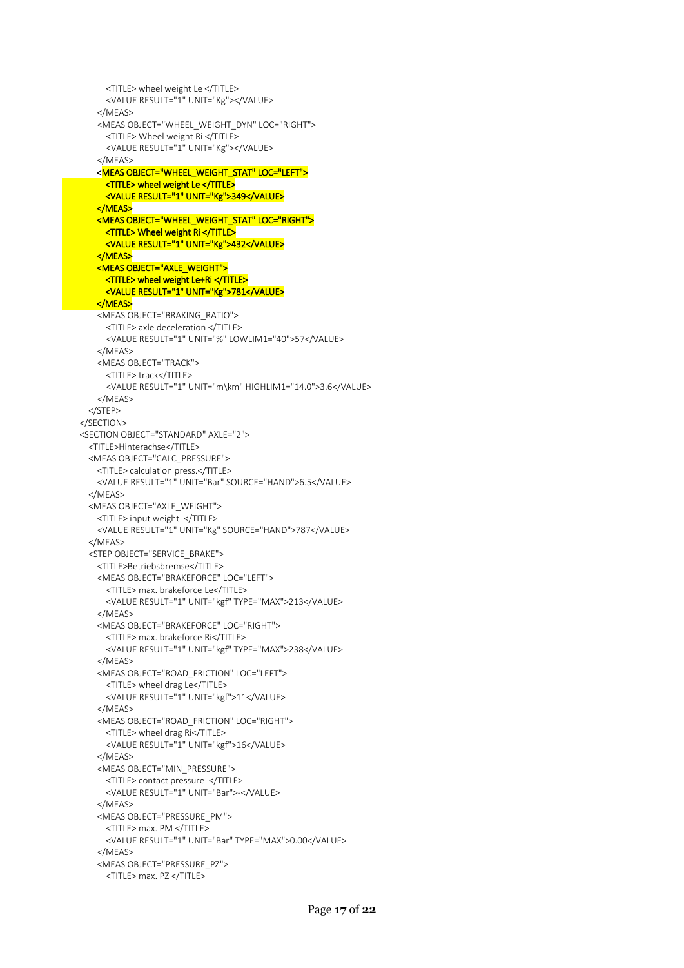```
 <TITLE> wheel weight Le </TITLE>
      <VALUE RESULT="1" UNIT="Kg"></VALUE>
     </MEAS>
    <MEAS OBJECT="WHEEL_WEIGHT_DYN" LOC="RIGHT">
      <TITLE> Wheel weight Ri </TITLE>
      <VALUE RESULT="1" UNIT="Kg"></VALUE>
     </MEAS>
   <MEAS OBJECT="WHEEL_WEIGHT_STAT" LOC="LEFT">
      <TITLE> wheel weight Le </TITLE> 
      <VALUE RESULT="1" UNIT="Kg">349</VALUE> 
    </MEAS> 
    <MEAS OBJECT="WHEEL_WEIGHT_STAT" LOC="RIGHT"> 
      <TITLE> Wheel weight Ri </TITLE> 
     <VALUE RESULT="1" UNIT="Kg">432</VALUE>
    </MEAS> 
   <MEAS OBJECT="AXLE_WEIGHT">
      <TITLE> wheel weight Le+Ri </TITLE> 
     <VALUE RESULT="1" UNIT="Kg">781</VALUE>
    </MEAS> 
     <MEAS OBJECT="BRAKING_RATIO">
      <TITLE> axle deceleration </TITLE>
      <VALUE RESULT="1" UNIT="%" LOWLIM1="40">57</VALUE>
     </MEAS>
    <MEAS OBJECT="TRACK">
      <TITLE> track</TITLE>
      <VALUE RESULT="1" UNIT="m\km" HIGHLIM1="14.0">3.6</VALUE>
    </MEAS>
  </STEP>
 </SECTION>
 <SECTION OBJECT="STANDARD" AXLE="2">
  <TITLE>Hinterachse</TITLE>
  <MEAS OBJECT="CALC_PRESSURE">
    <TITLE> calculation press.</TITLE>
    <VALUE RESULT="1" UNIT="Bar" SOURCE="HAND">6.5</VALUE>
  </MEAS>
  <MEAS OBJECT="AXLE_WEIGHT">
    <TITLE> input weight </TITLE>
    <VALUE RESULT="1" UNIT="Kg" SOURCE="HAND">787</VALUE>
  </MEAS>
  <STEP OBJECT="SERVICE_BRAKE">
    <TITLE>Betriebsbremse</TITLE>
    <MEAS OBJECT="BRAKEFORCE" LOC="LEFT">
      <TITLE> max. brakeforce Le</TITLE>
      <VALUE RESULT="1" UNIT="kgf" TYPE="MAX">213</VALUE>
    </MEAS>
     <MEAS OBJECT="BRAKEFORCE" LOC="RIGHT">
      <TITLE> max. brakeforce Ri</TITLE>
      <VALUE RESULT="1" UNIT="kgf" TYPE="MAX">238</VALUE>
    </MEAS>
    <MEAS OBJECT="ROAD_FRICTION" LOC="LEFT">
      <TITLE> wheel drag Le</TITLE>
      <VALUE RESULT="1" UNIT="kgf">11</VALUE>
    </MEAS>
    <MEAS OBJECT="ROAD_FRICTION" LOC="RIGHT">
      <TITLE> wheel drag Ri</TITLE>
      <VALUE RESULT="1" UNIT="kgf">16</VALUE>
    </MEAS>
    <MEAS OBJECT="MIN_PRESSURE">
      <TITLE> contact pressure </TITLE>
       <VALUE RESULT="1" UNIT="Bar">-</VALUE>
    </MEAS>
    <MEAS OBJECT="PRESSURE_PM">
      <TITLE> max. PM </TITLE>
      <VALUE RESULT="1" UNIT="Bar" TYPE="MAX">0.00</VALUE>
     </MEAS>
    <MEAS OBJECT="PRESSURE_PZ">
      <TITLE> max. PZ </TITLE>
```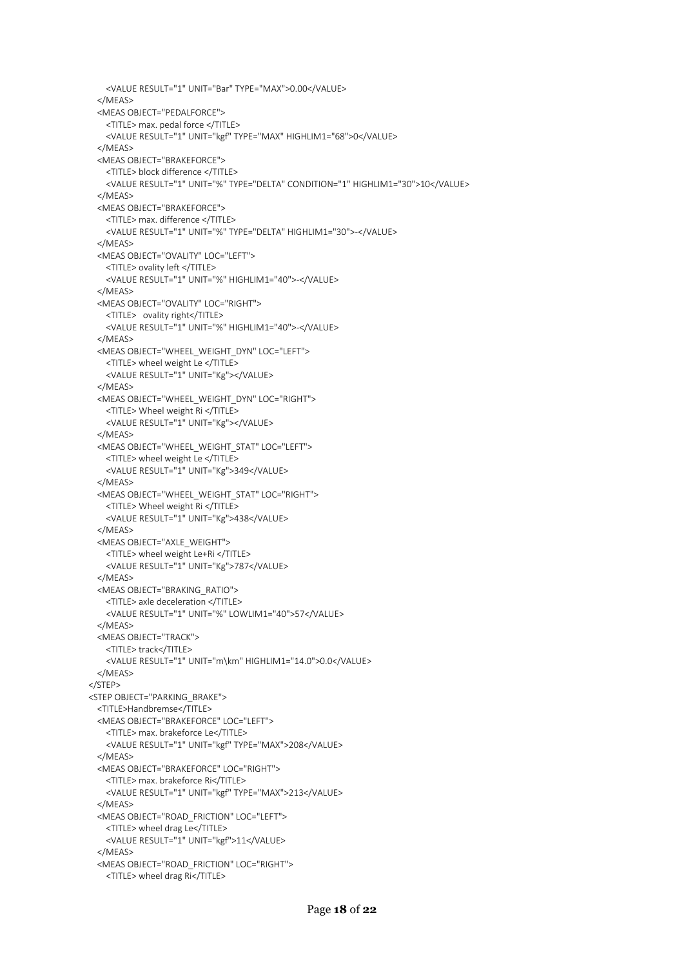```
 <VALUE RESULT="1" UNIT="Bar" TYPE="MAX">0.00</VALUE>
  </MEAS>
  <MEAS OBJECT="PEDALFORCE">
    <TITLE> max. pedal force </TITLE>
    <VALUE RESULT="1" UNIT="kgf" TYPE="MAX" HIGHLIM1="68">0</VALUE>
   </MEAS>
  <MEAS OBJECT="BRAKEFORCE">
    <TITLE> block difference </TITLE>
    <VALUE RESULT="1" UNIT="%" TYPE="DELTA" CONDITION="1" HIGHLIM1="30">10</VALUE>
  </MEAS>
  <MEAS OBJECT="BRAKEFORCE">
    <TITLE> max. difference </TITLE>
    <VALUE RESULT="1" UNIT="%" TYPE="DELTA" HIGHLIM1="30">-</VALUE>
  </MEAS>
  <MEAS OBJECT="OVALITY" LOC="LEFT">
    <TITLE> ovality left </TITLE>
    <VALUE RESULT="1" UNIT="%" HIGHLIM1="40">-</VALUE>
  </MEAS>
  <MEAS OBJECT="OVALITY" LOC="RIGHT">
    <TITLE> ovality right</TITLE>
    <VALUE RESULT="1" UNIT="%" HIGHLIM1="40">-</VALUE>
  </MEAS>
  <MEAS OBJECT="WHEEL_WEIGHT_DYN" LOC="LEFT">
    <TITLE> wheel weight Le </TITLE>
    <VALUE RESULT="1" UNIT="Kg"></VALUE>
   </MEAS>
  <MEAS OBJECT="WHEEL_WEIGHT_DYN" LOC="RIGHT">
    <TITLE> Wheel weight Ri </TITLE>
    <VALUE RESULT="1" UNIT="Kg"></VALUE>
  </MEAS>
  <MEAS OBJECT="WHEEL_WEIGHT_STAT" LOC="LEFT">
    <TITLE> wheel weight Le </TITLE>
    <VALUE RESULT="1" UNIT="Kg">349</VALUE>
 </MAFAS <MEAS OBJECT="WHEEL_WEIGHT_STAT" LOC="RIGHT">
    <TITLE> Wheel weight Ri </TITLE>
    <VALUE RESULT="1" UNIT="Kg">438</VALUE>
  </MEAS>
  <MEAS OBJECT="AXLE_WEIGHT">
    <TITLE> wheel weight Le+Ri </TITLE>
    <VALUE RESULT="1" UNIT="Kg">787</VALUE>
  </MEAS>
  <MEAS OBJECT="BRAKING_RATIO">
    <TITLE> axle deceleration </TITLE>
    <VALUE RESULT="1" UNIT="%" LOWLIM1="40">57</VALUE>
   </MEAS>
  <MEAS OBJECT="TRACK">
    <TITLE> track</TITLE>
    <VALUE RESULT="1" UNIT="m\km" HIGHLIM1="14.0">0.0</VALUE>
  </MEAS>
 </STEP>
 <STEP OBJECT="PARKING_BRAKE">
  <TITLE>Handbremse</TITLE>
  <MEAS OBJECT="BRAKEFORCE" LOC="LEFT">
    <TITLE> max. brakeforce Le</TITLE>
    <VALUE RESULT="1" UNIT="kgf" TYPE="MAX">208</VALUE>
  </MEAS>
  <MEAS OBJECT="BRAKEFORCE" LOC="RIGHT">
    <TITLE> max. brakeforce Ri</TITLE>
    <VALUE RESULT="1" UNIT="kgf" TYPE="MAX">213</VALUE>
  </MEAS>
  <MEAS OBJECT="ROAD_FRICTION" LOC="LEFT">
    <TITLE> wheel drag Le</TITLE>
    <VALUE RESULT="1" UNIT="kgf">11</VALUE>
   </MEAS>
  <MEAS OBJECT="ROAD_FRICTION" LOC="RIGHT">
    <TITLE> wheel drag Ri</TITLE>
```

```
Page 18 of 22
```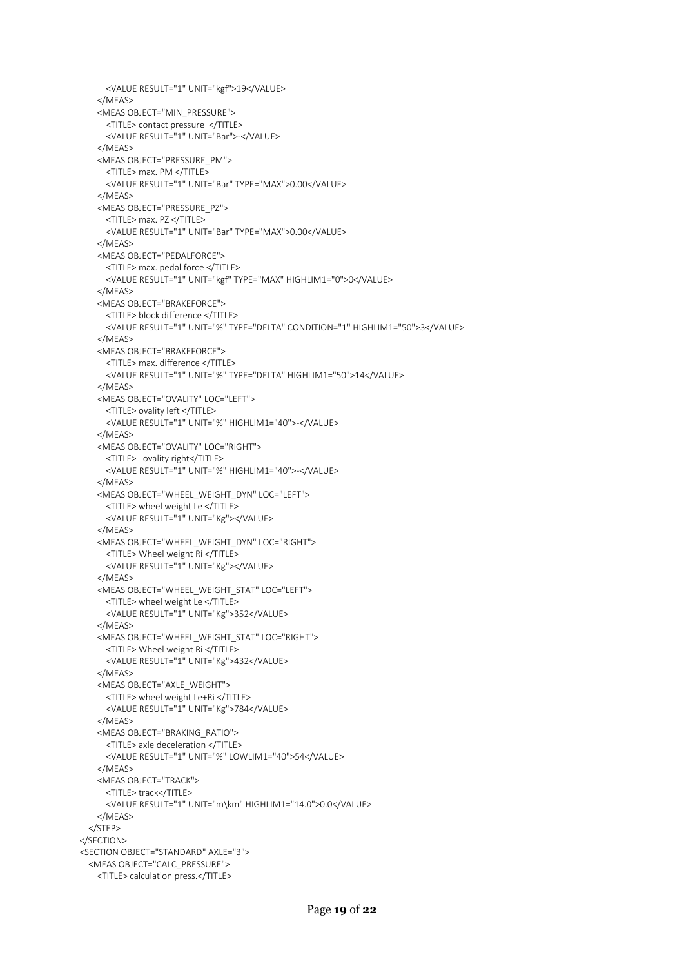```
 <VALUE RESULT="1" UNIT="kgf">19</VALUE>
    </MEAS>
    <MEAS OBJECT="MIN_PRESSURE">
      <TITLE> contact pressure </TITLE>
      <VALUE RESULT="1" UNIT="Bar">-</VALUE>
     </MEAS>
    <MEAS OBJECT="PRESSURE_PM">
      <TITLE> max. PM </TITLE>
      <VALUE RESULT="1" UNIT="Bar" TYPE="MAX">0.00</VALUE>
    </MEAS>
    <MEAS OBJECT="PRESSURE_PZ">
      <TITLE> max. PZ </TITLE>
      <VALUE RESULT="1" UNIT="Bar" TYPE="MAX">0.00</VALUE>
    </MEAS>
    <MEAS OBJECT="PEDALFORCE">
      <TITLE> max. pedal force </TITLE>
      <VALUE RESULT="1" UNIT="kgf" TYPE="MAX" HIGHLIM1="0">0</VALUE>
    </MEAS>
    <MEAS OBJECT="BRAKEFORCE">
      <TITLE> block difference </TITLE>
      <VALUE RESULT="1" UNIT="%" TYPE="DELTA" CONDITION="1" HIGHLIM1="50">3</VALUE>
    </MEAS>
    <MEAS OBJECT="BRAKEFORCE">
      <TITLE> max. difference </TITLE>
      <VALUE RESULT="1" UNIT="%" TYPE="DELTA" HIGHLIM1="50">14</VALUE>
     </MEAS>
    <MEAS OBJECT="OVALITY" LOC="LEFT">
      <TITLE> ovality left </TITLE>
      <VALUE RESULT="1" UNIT="%" HIGHLIM1="40">-</VALUE>
    </MEAS>
    <MEAS OBJECT="OVALITY" LOC="RIGHT">
      <TITLE> ovality right</TITLE>
      <VALUE RESULT="1" UNIT="%" HIGHLIM1="40">-</VALUE>
   </MAFAS <MEAS OBJECT="WHEEL_WEIGHT_DYN" LOC="LEFT">
      <TITLE> wheel weight Le </TITLE>
      <VALUE RESULT="1" UNIT="Kg"></VALUE>
    </MEAS>
    <MEAS OBJECT="WHEEL_WEIGHT_DYN" LOC="RIGHT">
      <TITLE> Wheel weight Ri </TITLE>
      <VALUE RESULT="1" UNIT="Kg"></VALUE>
    </MEAS>
    <MEAS OBJECT="WHEEL_WEIGHT_STAT" LOC="LEFT">
      <TITLE> wheel weight Le </TITLE>
      <VALUE RESULT="1" UNIT="Kg">352</VALUE>
    </MEAS>
    <MEAS OBJECT="WHEEL_WEIGHT_STAT" LOC="RIGHT">
      <TITLE> Wheel weight Ri </TITLE>
      <VALUE RESULT="1" UNIT="Kg">432</VALUE>
    </MEAS>
    <MEAS OBJECT="AXLE_WEIGHT">
      <TITLE> wheel weight Le+Ri </TITLE>
      <VALUE RESULT="1" UNIT="Kg">784</VALUE>
    </MEAS>
    <MEAS OBJECT="BRAKING_RATIO">
      <TITLE> axle deceleration </TITLE>
      <VALUE RESULT="1" UNIT="%" LOWLIM1="40">54</VALUE>
    </MEAS>
    <MEAS OBJECT="TRACK">
      <TITLE> track</TITLE>
      <VALUE RESULT="1" UNIT="m\km" HIGHLIM1="14.0">0.0</VALUE>
    </MEAS>
  </STEP>
 </SECTION>
 <SECTION OBJECT="STANDARD" AXLE="3">
  <MEAS OBJECT="CALC_PRESSURE">
    <TITLE> calculation press.</TITLE>
```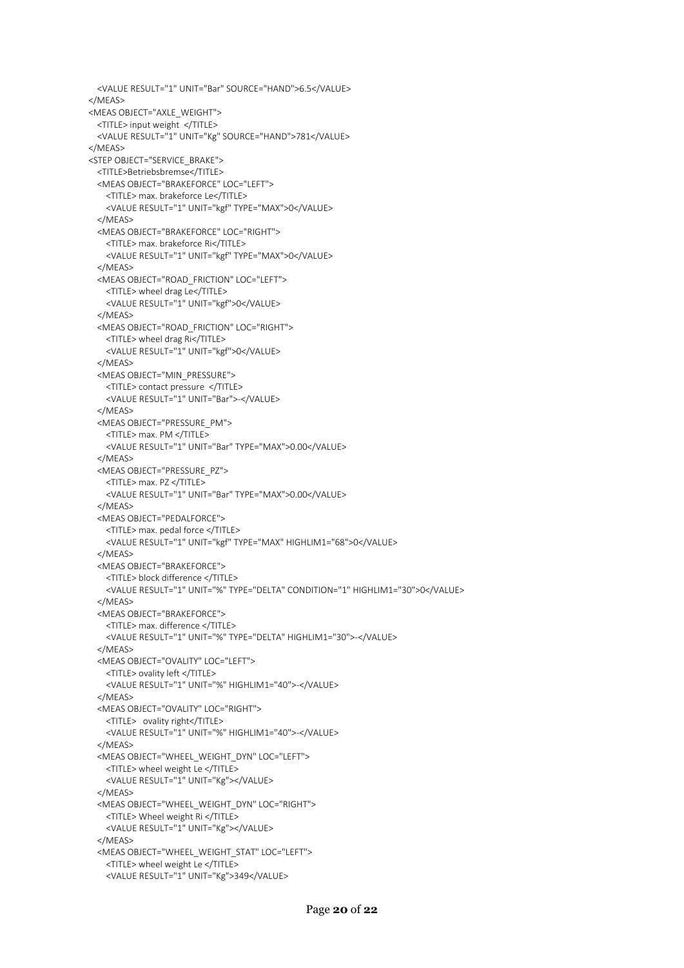<VALUE RESULT="1" UNIT="Kg">349</VALUE>

```
 <VALUE RESULT="1" UNIT="Bar" SOURCE="HAND">6.5</VALUE>
 </MEAS>
 <MEAS OBJECT="AXLE_WEIGHT">
  <TITLE> input weight </TITLE>
  <VALUE RESULT="1" UNIT="Kg" SOURCE="HAND">781</VALUE>
 </MEAS>
 <STEP OBJECT="SERVICE_BRAKE">
  <TITLE>Betriebsbremse</TITLE>
  <MEAS OBJECT="BRAKEFORCE" LOC="LEFT">
    <TITLE> max. brakeforce Le</TITLE>
    <VALUE RESULT="1" UNIT="kgf" TYPE="MAX">0</VALUE>
  </MEAS>
  <MEAS OBJECT="BRAKEFORCE" LOC="RIGHT">
    <TITLE> max. brakeforce Ri</TITLE>
    <VALUE RESULT="1" UNIT="kgf" TYPE="MAX">0</VALUE>
  </MEAS>
  <MEAS OBJECT="ROAD_FRICTION" LOC="LEFT">
    <TITLE> wheel drag Le</TITLE>
    <VALUE RESULT="1" UNIT="kgf">0</VALUE>
   </MEAS>
  <MEAS OBJECT="ROAD_FRICTION" LOC="RIGHT">
    <TITLE> wheel drag Ri</TITLE>
    <VALUE RESULT="1" UNIT="kgf">0</VALUE>
  </MEAS>
  <MEAS OBJECT="MIN_PRESSURE">
    <TITLE> contact pressure </TITLE>
    <VALUE RESULT="1" UNIT="Bar">-</VALUE>
  </MEAS>
  <MEAS OBJECT="PRESSURE_PM">
    <TITLE> max. PM </TITLE>
    <VALUE RESULT="1" UNIT="Bar" TYPE="MAX">0.00</VALUE>
  </MEAS>
   <MEAS OBJECT="PRESSURE_PZ">
    <TITLE> max. PZ </TITLE>
    <VALUE RESULT="1" UNIT="Bar" TYPE="MAX">0.00</VALUE>
  </MEAS>
  <MEAS OBJECT="PEDALFORCE">
    <TITLE> max. pedal force </TITLE>
    <VALUE RESULT="1" UNIT="kgf" TYPE="MAX" HIGHLIM1="68">0</VALUE>
   </MEAS>
  <MEAS OBJECT="BRAKEFORCE">
    <TITLE> block difference </TITLE>
    <VALUE RESULT="1" UNIT="%" TYPE="DELTA" CONDITION="1" HIGHLIM1="30">0</VALUE>
  </MEAS>
  <MEAS OBJECT="BRAKEFORCE">
    <TITLE> max. difference </TITLE>
    <VALUE RESULT="1" UNIT="%" TYPE="DELTA" HIGHLIM1="30">-</VALUE>
  </MEAS>
  <MEAS OBJECT="OVALITY" LOC="LEFT">
    <TITLE> ovality left </TITLE>
    <VALUE RESULT="1" UNIT="%" HIGHLIM1="40">-</VALUE>
   </MEAS>
  <MEAS OBJECT="OVALITY" LOC="RIGHT">
    <TITLE> ovality right</TITLE>
    <VALUE RESULT="1" UNIT="%" HIGHLIM1="40">-</VALUE>
  </MEAS>
  <MEAS OBJECT="WHEEL_WEIGHT_DYN" LOC="LEFT">
    <TITLE> wheel weight Le </TITLE>
    <VALUE RESULT="1" UNIT="Kg"></VALUE>
   </MEAS>
  <MEAS OBJECT="WHEEL_WEIGHT_DYN" LOC="RIGHT">
    <TITLE> Wheel weight Ri </TITLE>
    <VALUE RESULT="1" UNIT="Kg"></VALUE>
  </MEAS>
  <MEAS OBJECT="WHEEL_WEIGHT_STAT" LOC="LEFT">
    <TITLE> wheel weight Le </TITLE>
```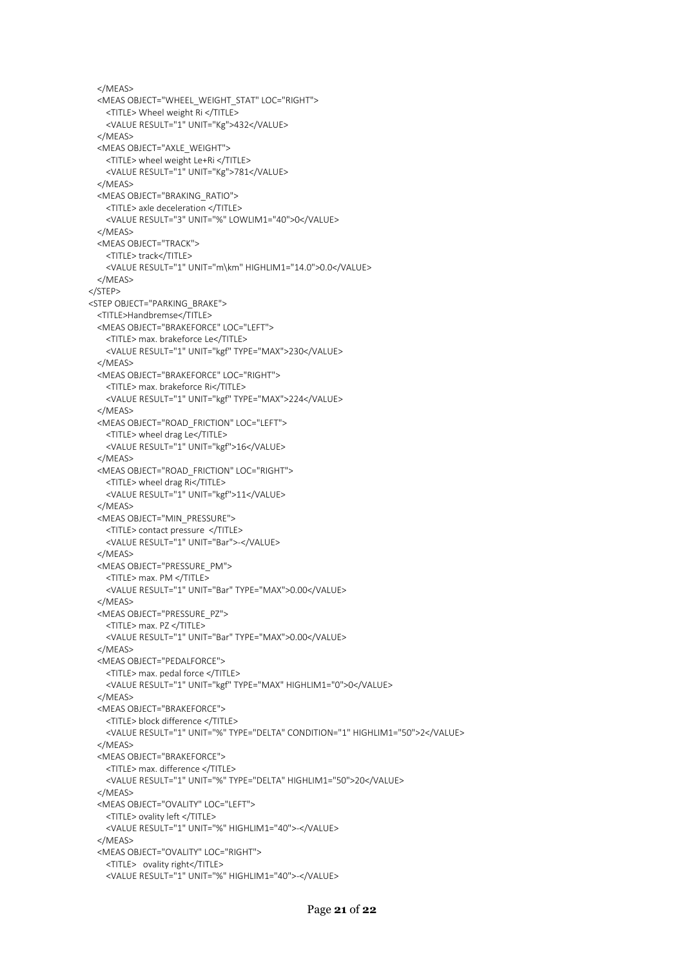```
 </MEAS>
  <MEAS OBJECT="WHEEL_WEIGHT_STAT" LOC="RIGHT">
    <TITLE> Wheel weight Ri </TITLE>
    <VALUE RESULT="1" UNIT="Kg">432</VALUE>
  </MEAS>
  <MEAS OBJECT="AXLE_WEIGHT">
    <TITLE> wheel weight Le+Ri </TITLE>
    <VALUE RESULT="1" UNIT="Kg">781</VALUE>
  </MEAS>
  <MEAS OBJECT="BRAKING_RATIO">
    <TITLE> axle deceleration </TITLE>
    <VALUE RESULT="3" UNIT="%" LOWLIM1="40">0</VALUE>
   </MEAS>
  <MEAS OBJECT="TRACK">
    <TITLE> track</TITLE>
    <VALUE RESULT="1" UNIT="m\km" HIGHLIM1="14.0">0.0</VALUE>
  </MEAS>
 </STEP>
 <STEP OBJECT="PARKING_BRAKE">
  <TITLE>Handbremse</TITLE>
  <MEAS OBJECT="BRAKEFORCE" LOC="LEFT">
    <TITLE> max. brakeforce Le</TITLE>
    <VALUE RESULT="1" UNIT="kgf" TYPE="MAX">230</VALUE>
  </MEAS>
  <MEAS OBJECT="BRAKEFORCE" LOC="RIGHT">
    <TITLE> max. brakeforce Ri</TITLE>
    <VALUE RESULT="1" UNIT="kgf" TYPE="MAX">224</VALUE>
  </MEAS>
  <MEAS OBJECT="ROAD_FRICTION" LOC="LEFT">
    <TITLE> wheel drag Le</TITLE>
    <VALUE RESULT="1" UNIT="kgf">16</VALUE>
  </MEAS>
   <MEAS OBJECT="ROAD_FRICTION" LOC="RIGHT">
    <TITLE> wheel drag Ri</TITLE>
    <VALUE RESULT="1" UNIT="kgf">11</VALUE>
  </MEAS>
  <MEAS OBJECT="MIN_PRESSURE">
    <TITLE> contact pressure </TITLE>
    <VALUE RESULT="1" UNIT="Bar">-</VALUE>
   </MEAS>
  <MEAS OBJECT="PRESSURE_PM">
    <TITLE> max. PM </TITLE>
    <VALUE RESULT="1" UNIT="Bar" TYPE="MAX">0.00</VALUE>
  </MEAS>
  <MEAS OBJECT="PRESSURE_PZ">
    <TITLE> max. PZ </TITLE>
    <VALUE RESULT="1" UNIT="Bar" TYPE="MAX">0.00</VALUE>
  </MEAS>
  <MEAS OBJECT="PEDALFORCE">
    <TITLE> max. pedal force </TITLE>
    <VALUE RESULT="1" UNIT="kgf" TYPE="MAX" HIGHLIM1="0">0</VALUE>
   </MEAS>
  <MEAS OBJECT="BRAKEFORCE">
    <TITLE> block difference </TITLE>
    <VALUE RESULT="1" UNIT="%" TYPE="DELTA" CONDITION="1" HIGHLIM1="50">2</VALUE>
   </MEAS>
  <MEAS OBJECT="BRAKEFORCE">
    <TITLE> max. difference </TITLE>
    <VALUE RESULT="1" UNIT="%" TYPE="DELTA" HIGHLIM1="50">20</VALUE>
   </MEAS>
  <MEAS OBJECT="OVALITY" LOC="LEFT">
    <TITLE> ovality left </TITLE>
    <VALUE RESULT="1" UNIT="%" HIGHLIM1="40">-</VALUE>
  </MEAS>
  <MEAS OBJECT="OVALITY" LOC="RIGHT">
    <TITLE> ovality right</TITLE>
    <VALUE RESULT="1" UNIT="%" HIGHLIM1="40">-</VALUE>
```